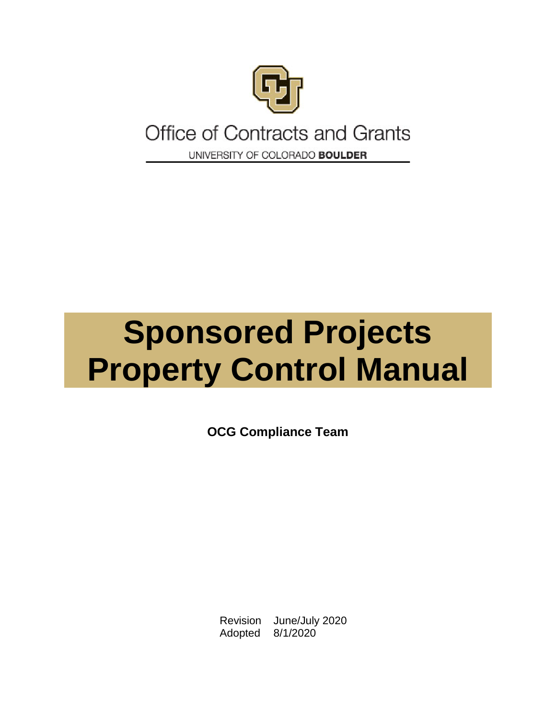

# **Office of Contracts and Grants** UNIVERSITY OF COLORADO BOULDER

# **Sponsored Projects Property Control Manual**

**OCG Compliance Team**

Revision June/July 2020 Adopted 8/1/2020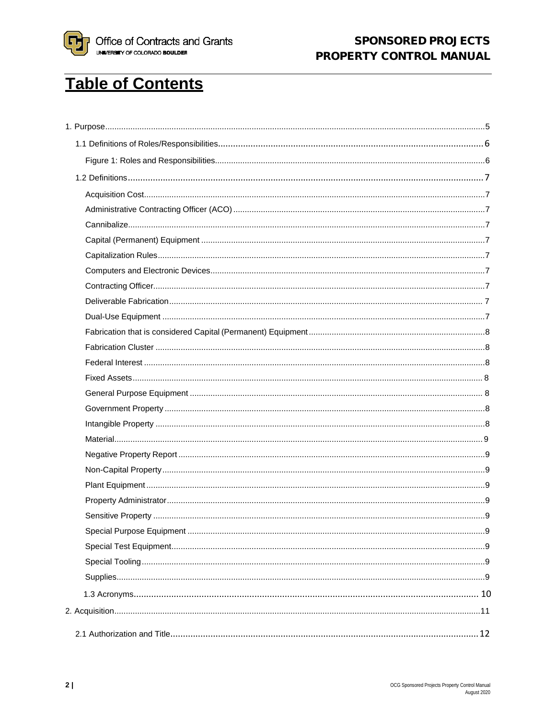

# **Table of Contents**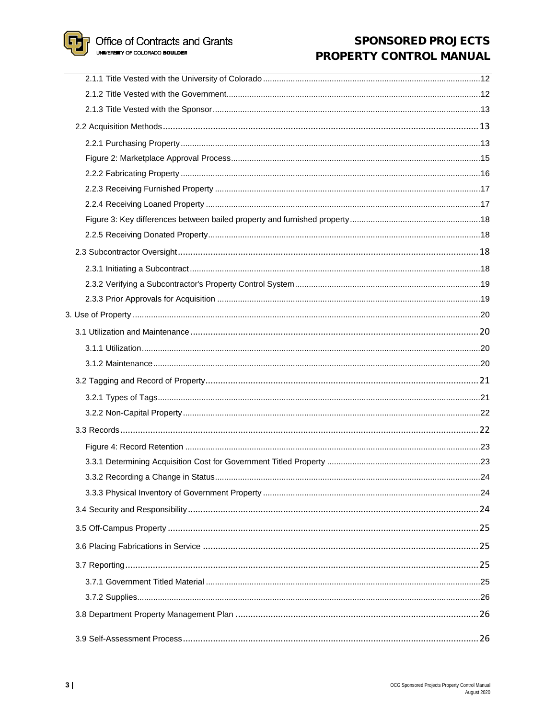**P** Office of Contracts and Grants

In 3

# **SPONSORED PROJECTS** PROPERTY CONTROL MANUAL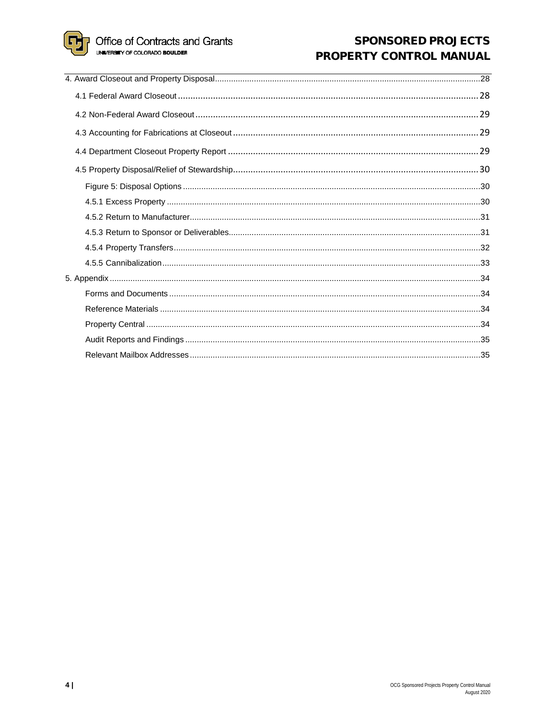lii

# **SPONSORED PROJECTS** PROPERTY CONTROL MANUAL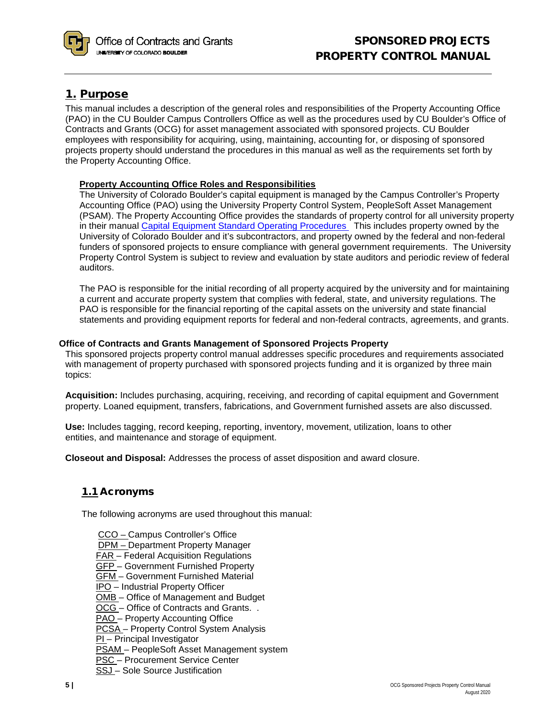

# <span id="page-4-0"></span>1. Purpose

This manual includes a description of the general roles and responsibilities of the Property Accounting Office (PAO) in the CU Boulder Campus Controllers Office as well as the procedures used by CU Boulder's Office of Contracts and Grants (OCG) for asset management associated with sponsored projects. CU Boulder employees with responsibility for acquiring, using, maintaining, accounting for, or disposing of sponsored projects property should understand the procedures in this manual as well as the requirements set forth by the Property Accounting Office.

## **Property Accounting Office Roles and Responsibilities**

The University of Colorado Boulder's capital equipment is managed by the Campus Controller's Property Accounting Office (PAO) using the University Property Control System, PeopleSoft Asset Management (PSAM). The Property Accounting Office provides the standards of property control for all university property in their manual Capital Equipment Standard Operating Procedures This includes property owned by the University of Colorado Boulder and it's subcontractors, and property owned by the federal and non-federal funders of sponsored projects to ensure compliance with general government requirements. The University Property Control System is subject to review and evaluation by state auditors and periodic review of federal auditors.

The PAO is responsible for the initial recording of all property acquired by the university and for maintaining a current and accurate property system that complies with federal, state, and university regulations. The PAO is responsible for the financial reporting of the capital assets on the university and state financial statements and providing equipment reports for federal and non-federal contracts, agreements, and grants.

## **Office of Contracts and Grants Management of Sponsored Projects Property**

This sponsored projects property control manual addresses specific procedures and requirements associated with management of property purchased with sponsored projects funding and it is organized by three main topics:

**Acquisition:** Includes purchasing, acquiring, receiving, and recording of capital equipment and Government property. Loaned equipment, transfers, fabrications, and Government furnished assets are also discussed.

**Use:** Includes tagging, record keeping, reporting, inventory, movement, utilization, loans to other entities, and maintenance and storage of equipment.

**Closeout and Disposal:** Addresses the process of asset disposition and award closure.

# 1.1 Acronyms

The following acronyms are used throughout this manual:

- CCO Campus Controller's Office DPM – Department Property Manager FAR – Federal Acquisition Regulations GFP – Government Furnished Property GFM – Government Furnished Material IPO – Industrial Property Officer OMB – Office of Management and Budget OCG - Office of Contracts and Grants. . PAO - Property Accounting Office **PCSA** – Property Control System Analysis PI – Principal Investigator PSAM – PeopleSoft Asset Management system PSC – Procurement Service Center
- SSJ Sole Source Justification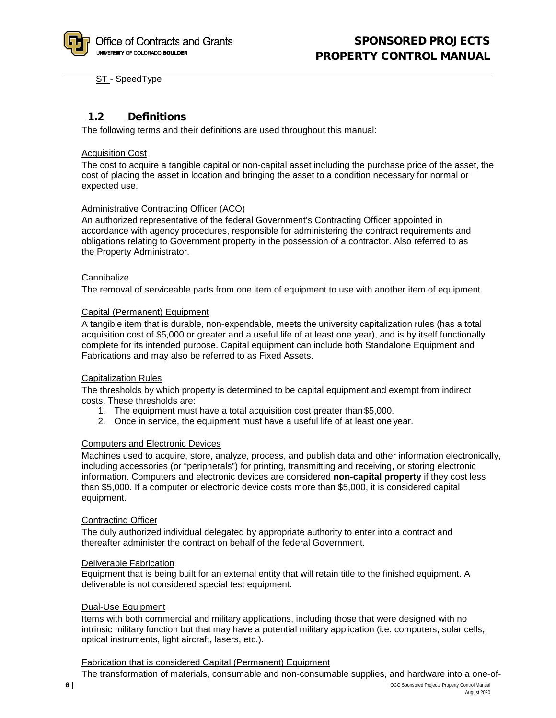ST - SpeedType

# 1.2 Definitions

The following terms and their definitions are used throughout this manual:

#### <span id="page-5-0"></span>Acquisition Cost

The cost to acquire a tangible capital or non-capital asset including the purchase price of the asset, the cost of placing the asset in location and bringing the asset to a condition necessary for normal or expected use.

#### <span id="page-5-1"></span>Administrative Contracting Officer (ACO)

An authorized representative of the federal Government's Contracting Officer appointed in accordance with agency procedures, responsible for administering the contract requirements and obligations relating to Government property in the possession of a contractor. Also referred to as the Property Administrator.

#### <span id="page-5-2"></span>**Cannibalize**

The removal of serviceable parts from one item of equipment to use with another item of equipment.

#### <span id="page-5-3"></span>Capital (Permanent) Equipment

A tangible item that is durable, non-expendable, meets the university capitalization rules (has a total acquisition cost of \$5,000 or greater and a useful life of at least one year), and is by itself functionally complete for its intended purpose. Capital equipment can include both Standalone Equipment and Fabrications and may also be referred to as Fixed Assets.

#### <span id="page-5-4"></span>Capitalization Rules

The thresholds by which property is determined to be capital equipment and exempt from indirect costs. These thresholds are:

- 1. The equipment must have a total acquisition cost greater than \$5,000.
- 2. Once in service, the equipment must have a useful life of at least one year.

#### <span id="page-5-5"></span>Computers and Electronic Devices

Machines used to acquire, store, analyze, process, and publish data and other information electronically, including accessories (or "peripherals") for printing, transmitting and receiving, or storing electronic information. Computers and electronic devices are considered **non-capital property** if they cost less than \$5,000. If a computer or electronic device costs more than \$5,000, it is considered capital equipment.

#### <span id="page-5-6"></span>Contracting Officer

The duly authorized individual delegated by appropriate authority to enter into a contract and thereafter administer the contract on behalf of the federal Government.

#### Deliverable Fabrication

Equipment that is being built for an external entity that will retain title to the finished equipment. A deliverable is not considered special test equipment.

#### <span id="page-5-7"></span>Dual-Use Equipment

Items with both commercial and military applications, including those that were designed with no intrinsic military function but that may have a potential military application (i.e. computers, solar cells, optical instruments, light aircraft, lasers, etc.).

#### <span id="page-5-8"></span>Fabrication that is considered Capital (Permanent) Equipment

The transformation of materials, consumable and non-consumable supplies, and hardware into a one-of-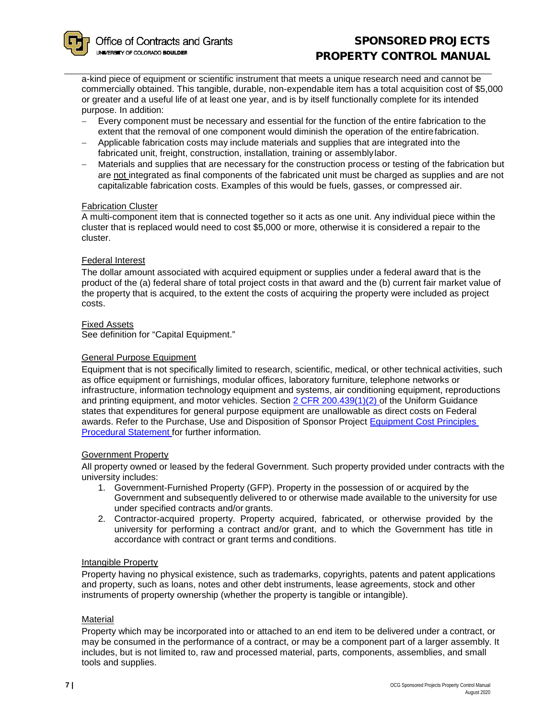a-kind piece of equipment or scientific instrument that meets a unique research need and cannot be commercially obtained. This tangible, durable, non-expendable item has a total acquisition cost of \$5,000 or greater and a useful life of at least one year, and is by itself functionally complete for its intended purpose. In addition:

- − Every component must be necessary and essential for the function of the entire fabrication to the extent that the removal of one component would diminish the operation of the entirefabrication.
- − Applicable fabrication costs may include materials and supplies that are integrated into the fabricated unit, freight, construction, installation, training or assemblylabor.
- − Materials and supplies that are necessary for the construction process or testing of the fabrication but are not integrated as final components of the fabricated unit must be charged as supplies and are not capitalizable fabrication costs. Examples of this would be fuels, gasses, or compressed air.

#### Fabrication Cluster

A multi-component item that is connected together so it acts as one unit. Any individual piece within the cluster that is replaced would need to cost \$5,000 or more, otherwise it is considered a repair to the cluster.

## <span id="page-6-0"></span>Federal Interest

The dollar amount associated with acquired equipment or supplies under a federal award that is the product of the (a) federal share of total project costs in that award and the (b) current fair market value of the property that is acquired, to the extent the costs of acquiring the property were included as project costs.

#### Fixed Assets

See definition for "Capital Equipment."

#### <span id="page-6-1"></span>General Purpose Equipment

Equipment that is not specifically limited to research, scientific, medical, or other technical activities, such as office equipment or furnishings, modular offices, laboratory furniture, telephone networks or infrastructure, information technology equipment and systems, air conditioning equipment, reproductions and printing equipment, and motor vehicles. Section [2 CFR 200.439\(1\)\(2\) o](http://www.ecfr.gov/cgi-bin/text-idx?SID=066144ace7f2dfe1bce9a1d9f37a0fa4&mc=true&node=se2.1.200_1439&rgn=div8)f the Uniform Guidance states that expenditures for general purpose equipment are unallowable as direct costs on Federal awards. Refer to the Purchase, Use and Disposition of Sponsor Project [Equipment Cost Principles](http://www.colorado.edu/controller/policies/cost-principles-sponsored-projects/purchase-use-and-disposition-sponsored-project-equipment)  [Procedural Statement f](http://www.colorado.edu/controller/policies/cost-principles-sponsored-projects/purchase-use-and-disposition-sponsored-project-equipment)or further information.

#### Government Property

All property owned or leased by the federal Government. Such property provided under contracts with the university includes:

- 1. Government-Furnished Property (GFP). Property in the possession of or acquired by the Government and subsequently delivered to or otherwise made available to the university for use under specified contracts and/or grants.
- 2. Contractor-acquired property. Property acquired, fabricated, or otherwise provided by the university for performing a contract and/or grant, and to which the Government has title in accordance with contract or grant terms and conditions.

#### <span id="page-6-2"></span>Intangible Property

Property having no physical existence, such as trademarks, copyrights, patents and patent applications and property, such as loans, notes and other debt instruments, lease agreements, stock and other instruments of property ownership (whether the property is tangible or intangible).

#### <span id="page-6-3"></span>Material

Property which may be incorporated into or attached to an end item to be delivered under a contract, or may be consumed in the performance of a contract, or may be a component part of a larger assembly. It includes, but is not limited to, raw and processed material, parts, components, assemblies, and small tools and supplies.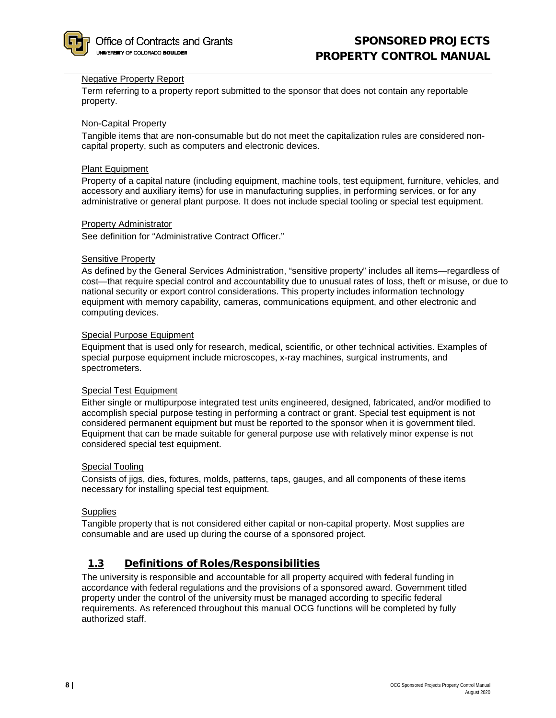

#### <span id="page-7-1"></span>Negative Property Report

Term referring to a property report submitted to the sponsor that does not contain any reportable property.

#### <span id="page-7-2"></span>Non-Capital Property

Tangible items that are non-consumable but do not meet the capitalization rules are considered noncapital property, such as computers and electronic devices.

#### <span id="page-7-3"></span>Plant Equipment

Property of a capital nature (including equipment, machine tools, test equipment, furniture, vehicles, and accessory and auxiliary items) for use in manufacturing supplies, in performing services, or for any administrative or general plant purpose. It does not include special tooling or special test equipment.

#### <span id="page-7-4"></span>Property Administrator

See definition for "Administrative Contract Officer."

#### <span id="page-7-5"></span>Sensitive Property

As defined by the General Services Administration, "sensitive property" includes all items—regardless of cost—that require special control and accountability due to unusual rates of loss, theft or misuse, or due to national security or export control considerations. This property includes information technology equipment with memory capability, cameras, communications equipment, and other electronic and computing devices.

#### <span id="page-7-6"></span>Special Purpose Equipment

Equipment that is used only for research, medical, scientific, or other technical activities. Examples of special purpose equipment include microscopes, x-ray machines, surgical instruments, and spectrometers.

#### <span id="page-7-7"></span>Special Test Equipment

Either single or multipurpose integrated test units engineered, designed, fabricated, and/or modified to accomplish special purpose testing in performing a contract or grant. Special test equipment is not considered permanent equipment but must be reported to the sponsor when it is government tiled. Equipment that can be made suitable for general purpose use with relatively minor expense is not considered special test equipment.

#### <span id="page-7-8"></span>Special Tooling

Consists of jigs, dies, fixtures, molds, patterns, taps, gauges, and all components of these items necessary for installing special test equipment.

#### <span id="page-7-9"></span>**Supplies**

Tangible property that is not considered either capital or non-capital property. Most supplies are consumable and are used up during the course of a sponsored project.

# <span id="page-7-0"></span>1.3 Definitions of Roles/Responsibilities

The university is responsible and accountable for all property acquired with federal funding in accordance with federal regulations and the provisions of a sponsored award. Government titled property under the control of the university must be managed according to specific federal requirements. As referenced throughout this manual OCG functions will be completed by fully authorized staff.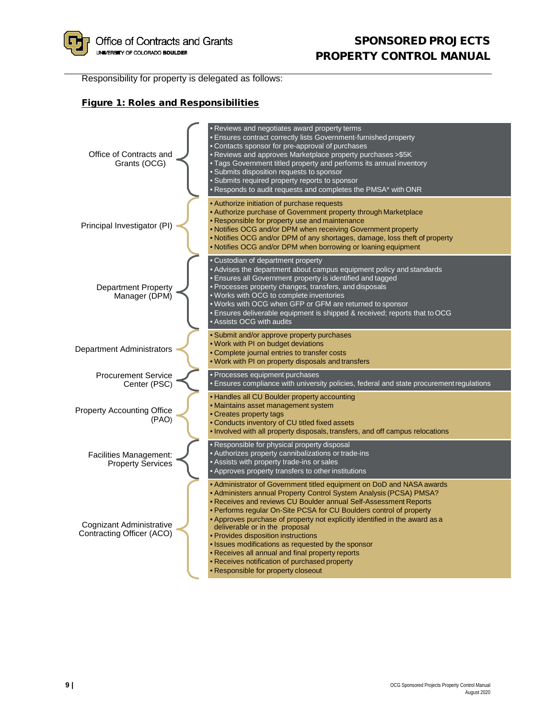

Responsibility for property is delegated as follows:

## Figure 1: Roles and Responsibilities

<span id="page-8-0"></span>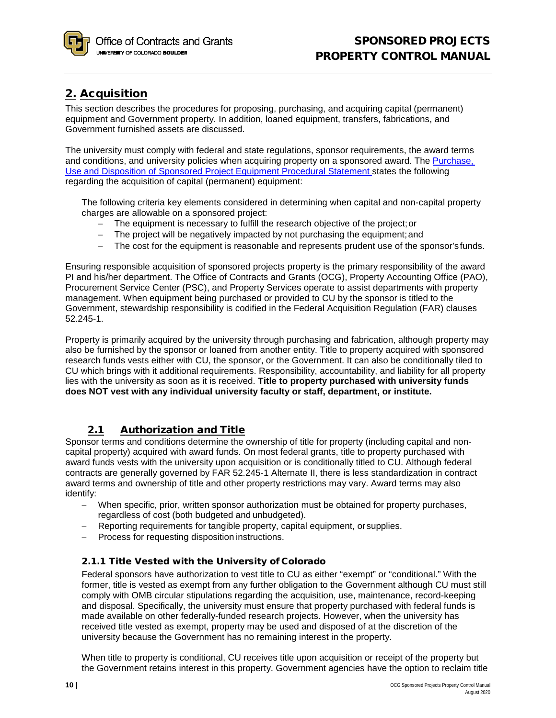# <span id="page-9-1"></span><span id="page-9-0"></span>2. Acquisition

This section describes the procedures for proposing, purchasing, and acquiring capital (permanent) equipment and Government property. In addition, loaned equipment, transfers, fabrications, and Government furnished assets are discussed.

The university must comply with federal and state regulations, sponsor requirements, the award terms and conditions, and university policies when acquiring property on a sponsored award. The [Purchase,](http://www.colorado.edu/controller/policies/cost-principles-sponsored-projects/purchase-use-and-disposition-sponsored-project-equipment) [Use and Disposition of Sponsored Project Equipment Procedural Statement s](http://www.colorado.edu/controller/policies/cost-principles-sponsored-projects/purchase-use-and-disposition-sponsored-project-equipment)tates the following regarding the acquisition of capital (permanent) equipment:

The following criteria key elements considered in determining when capital and non-capital property charges are allowable on a sponsored project:

- − The equipment is necessary to fulfill the research objective of the project;or
- − The project will be negatively impacted by not purchasing the equipment;and
- − The cost for the equipment is reasonable and represents prudent use of the sponsor'sfunds.

Ensuring responsible acquisition of sponsored projects property is the primary responsibility of the award PI and his/her department. The Office of Contracts and Grants (OCG), Property Accounting Office (PAO), Procurement Service Center (PSC), and Property Services operate to assist departments with property management. When equipment being purchased or provided to CU by the sponsor is titled to the Government, stewardship responsibility is codified in the Federal Acquisition Regulation (FAR) clauses 52.245-1.

Property is primarily acquired by the university through purchasing and fabrication, although property may also be furnished by the sponsor or loaned from another entity. Title to property acquired with sponsored research funds vests either with CU, the sponsor, or the Government. It can also be conditionally tiled to CU which brings with it additional requirements. Responsibility, accountability, and liability for all property lies with the university as soon as it is received. **Title to property purchased with university funds does NOT vest with any individual university faculty or staff, department, or institute.**

# 2.1 Authorization and Title

<span id="page-9-2"></span>Sponsor terms and conditions determine the ownership of title for property (including capital and noncapital property) acquired with award funds. On most federal grants, title to property purchased with award funds vests with the university upon acquisition or is conditionally titled to CU. Although federal contracts are generally governed by FAR 52.245-1 Alternate II, there is less standardization in contract award terms and ownership of title and other property restrictions may vary. Award terms may also identify:

- When specific, prior, written sponsor authorization must be obtained for property purchases, regardless of cost (both budgeted and unbudgeted).
- − Reporting requirements for tangible property, capital equipment, orsupplies.
- − Process for requesting disposition instructions.

# <span id="page-9-3"></span>2.1.1 Title Vested with the University of Colorado

Federal sponsors have authorization to vest title to CU as either "exempt" or "conditional." With the former, title is vested as exempt from any further obligation to the Government although CU must still comply with OMB circular stipulations regarding the acquisition, use, maintenance, record-keeping and disposal. Specifically, the university must ensure that property purchased with federal funds is made available on other federally-funded research projects. However, when the university has received title vested as exempt, property may be used and disposed of at the discretion of the university because the Government has no remaining interest in the property.

When title to property is conditional, CU receives title upon acquisition or receipt of the property but the Government retains interest in this property. Government agencies have the option to reclaim title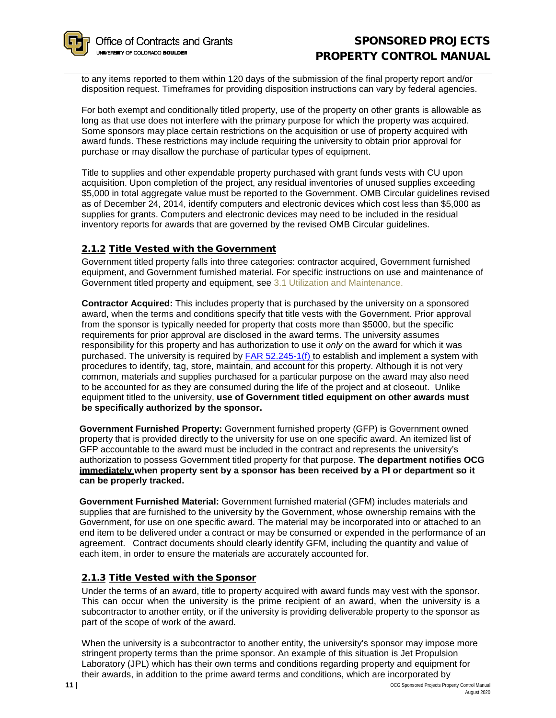to any items reported to them within 120 days of the submission of the final property report and/or disposition request. Timeframes for providing disposition instructions can vary by federal agencies.

For both exempt and conditionally titled property, use of the property on other grants is allowable as long as that use does not interfere with the primary purpose for which the property was acquired. Some sponsors may place certain restrictions on the acquisition or use of property acquired with award funds. These restrictions may include requiring the university to obtain prior approval for purchase or may disallow the purchase of particular types of equipment.

Title to supplies and other expendable property purchased with grant funds vests with CU upon acquisition. Upon completion of the project, any residual inventories of unused supplies exceeding \$5,000 in total aggregate value must be reported to the Government. OMB Circular guidelines revised as of December 24, 2014, identify computers and electronic devices which cost less than \$5,000 as supplies for grants. Computers and electronic devices may need to be included in the residual inventory reports for awards that are governed by the revised OMB Circular guidelines.

# <span id="page-10-0"></span>2.1.2 Title Vested with the Government

Government titled property falls into three categories: contractor acquired, Government furnished equipment, and Government furnished material. For specific instructions on use and maintenance of Government titled property and equipment, see [3.1 Utilization and Maintenance.](#page-16-4)

**Contractor Acquired:** This includes property that is purchased by the university on a sponsored award, when the terms and conditions specify that title vests with the Government. Prior approval from the sponsor is typically needed for property that costs more than \$5000, but the specific requirements for prior approval are disclosed in the award terms. The university assumes responsibility for this property and has authorization to use it *only* on the award for which it was purchased. The university is required by [FAR 52.245-1\(f\) t](https://www.acquisition.gov/far/html/52_245.html)o establish and implement a system with procedures to identify, tag, store, maintain, and account for this property. Although it is not very common, materials and supplies purchased for a particular purpose on the award may also need to be accounted for as they are consumed during the life of the project and at closeout. Unlike equipment titled to the university, **use of Government titled equipment on other awards must be specifically authorized by the sponsor.**

**Government Furnished Property:** Government furnished property (GFP) is Government owned property that is provided directly to the university for use on one specific award. An itemized list of GFP accountable to the award must be included in the contract and represents the university's authorization to possess Government titled property for that purpose. **The department notifies OCG immediately when property sent by a sponsor has been received by a PI or department so it can be properly tracked.**

**Government Furnished Material:** Government furnished material (GFM) includes materials and supplies that are furnished to the university by the Government, whose ownership remains with the Government, for use on one specific award. The material may be incorporated into or attached to an end item to be delivered under a contract or may be consumed or expended in the performance of an agreement. Contract documents should clearly identify GFM, including the quantity and value of each item, in order to ensure the materials are accurately accounted for.

# <span id="page-10-1"></span>2.1.3 Title Vested with the Sponsor

Under the terms of an award, title to property acquired with award funds may vest with the sponsor. This can occur when the university is the prime recipient of an award, when the university is a subcontractor to another entity, or if the university is providing deliverable property to the sponsor as part of the scope of work of the award.

When the university is a subcontractor to another entity, the university's sponsor may impose more stringent property terms than the prime sponsor. An example of this situation is Jet Propulsion Laboratory (JPL) which has their own terms and conditions regarding property and equipment for their awards, in addition to the prime award terms and conditions, which are incorporated by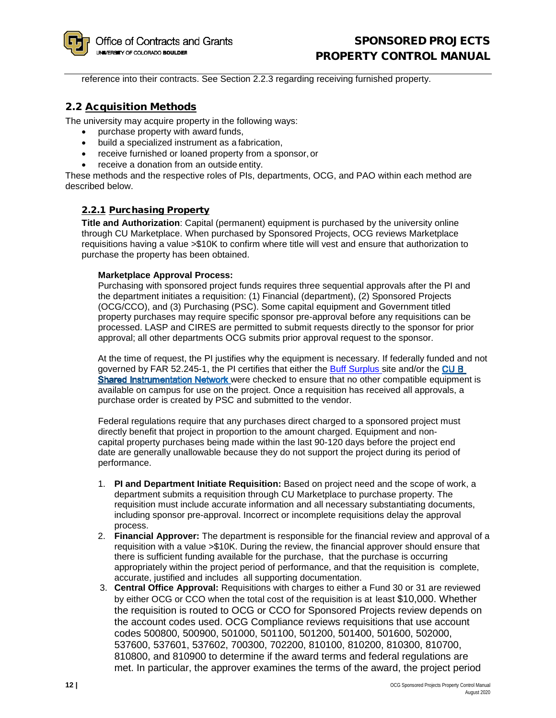reference into their contracts. See Section 2.2.3 regarding receiving furnished property.

# <span id="page-11-0"></span>2.2 Acquisition Methods

The university may acquire property in the following ways:

- purchase property with award funds,
- build a specialized instrument as a fabrication,
- receive furnished or loaned property from a sponsor, or
- receive a donation from an outside entity.

These methods and the respective roles of PIs, departments, OCG, and PAO within each method are described below.

## <span id="page-11-1"></span>2.2.1 Purchasing Property

**Title and Authorization**: Capital (permanent) equipment is purchased by the university online through CU Marketplace. When purchased by Sponsored Projects, OCG reviews Marketplace requisitions having a value >\$10K to confirm where title will vest and ensure that authorization to purchase the property has been obtained.

#### **Marketplace Approval Process:**

Purchasing with sponsored project funds requires three sequential approvals after the PI and the department initiates a requisition: (1) Financial (department), (2) Sponsored Projects (OCG/CCO), and (3) Purchasing (PSC). Some capital equipment and Government titled property purchases may require specific sponsor pre-approval before any requisitions can be processed. LASP and CIRES are permitted to submit requests directly to the sponsor for prior approval; all other departments OCG submits prior approval request to the sponsor.

At the time of request, the PI justifies why the equipment is necessary. If federally fun[ded and not](http://www.colorado.edu/sharedinstrumentation/)  governed by FAR 52.245-1, the PI certifies that either the [Buff Surplus](https://buffsurplus.colorado.edu/) site and/or the CU B Shared Instrumentation Net[w](http://www.colorado.edu/sharedinstrumentation/)ork were checked to ensure that no other compatible equipment is available on campus for use on the project. Once a requisition has received all approvals, a purchase order is created by PSC and submitted to the vendor.

Federal regulations require that any purchases direct charged to a sponsored project must directly benefit that project in proportion to the amount charged. Equipment and noncapital property purchases being made within the last 90-120 days before the project end date are generally unallowable because they do not support the project during its period of performance.

- 1. **PI and Department Initiate Requisition:** Based on project need and the scope of work, a department submits a requisition through CU Marketplace to purchase property. The requisition must include accurate information and all necessary substantiating documents, including sponsor pre-approval. Incorrect or incomplete requisitions delay the approval process.
- 2. **Financial Approver:** The department is responsible for the financial review and approval of a requisition with a value >\$10K. During the review, the financial approver should ensure that there is sufficient funding available for the purchase, that the purchase is occurring appropriately within the project period of performance, and that the requisition is complete, accurate, justified and includes all supporting documentation.
- 3. **Central Office Approval:** Requisitions with charges to either a Fund 30 or 31 are reviewed by either OCG or CCO when the total cost of the requisition is at least \$10,000. Whether the requisition is routed to OCG or CCO for Sponsored Projects review depends on the account codes used. OCG Compliance reviews requisitions that use account codes 500800, 500900, 501000, 501100, 501200, 501400, 501600, 502000, 537600, 537601, 537602, 700300, 702200, 810100, 810200, 810300, 810700, 810800, and 810900 to determine if the award terms and federal regulations are met. In particular, the approver examines the terms of the award, the project period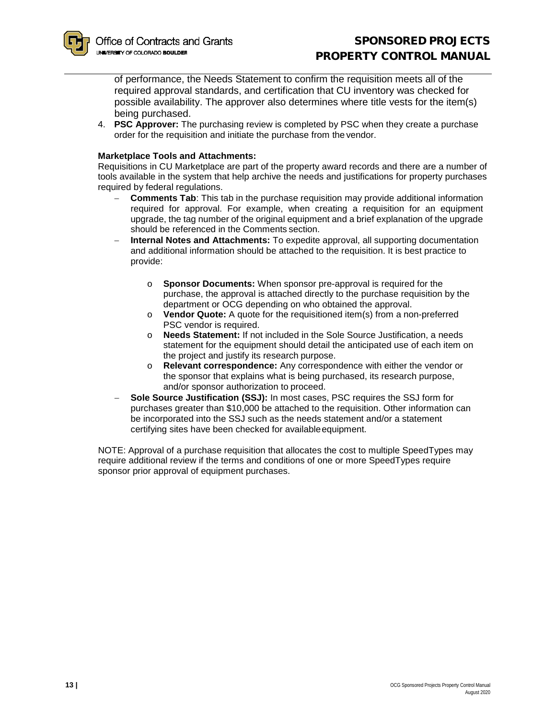of performance, the Needs Statement to confirm the requisition meets all of the required approval standards, and certification that CU inventory was checked for possible availability. The approver also determines where title vests for the item(s) being purchased.

4. **PSC Approver:** The purchasing review is completed by PSC when they create a purchase order for the requisition and initiate the purchase from the vendor.

#### **Marketplace Tools and Attachments:**

Requisitions in CU Marketplace are part of the property award records and there are a number of tools available in the system that help archive the needs and justifications for property purchases required by federal regulations.

- **Comments Tab**: This tab in the purchase requisition may provide additional information required for approval. For example, when creating a requisition for an equipment upgrade, the tag number of the original equipment and a brief explanation of the upgrade should be referenced in the Comments section.
- − **Internal Notes and Attachments:** To expedite approval, all supporting documentation and additional information should be attached to the requisition. It is best practice to provide:
	- o **Sponsor Documents:** When sponsor pre-approval is required for the purchase, the approval is attached directly to the purchase requisition by the department or OCG depending on who obtained the approval.
	- o **Vendor Quote:** A quote for the requisitioned item(s) from a non-preferred PSC vendor is required.
	- o **Needs Statement:** If not included in the Sole Source Justification, a needs statement for the equipment should detail the anticipated use of each item on the project and justify its research purpose.
	- o **Relevant correspondence:** Any correspondence with either the vendor or the sponsor that explains what is being purchased, its research purpose, and/or sponsor authorization to proceed.
- − **Sole Source Justification (SSJ):** In most cases, PSC requires the SSJ form for purchases greater than \$10,000 be attached to the requisition. Other information can be incorporated into the SSJ such as the needs statement and/or a statement certifying sites have been checked for available equipment.

NOTE: Approval of a purchase requisition that allocates the cost to multiple SpeedTypes may require additional review if the terms and conditions of one or more SpeedTypes require sponsor prior approval of equipment purchases.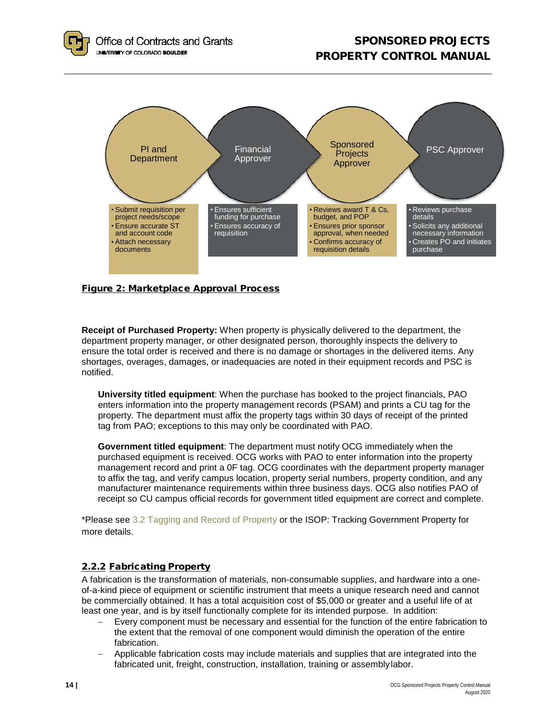

# <span id="page-13-0"></span>Figure 2: Marketplace Approval Process

**Receipt of Purchased Property:** When property is physically delivered to the department, the department property manager, or other designated person, thoroughly inspects the delivery to ensure the total order is received and there is no damage or shortages in the delivered items. Any shortages, overages, damages, or inadequacies are noted in their equipment records and PSC is notified.

**University titled equipment**: When the purchase has booked to the project financials, PAO enters information into the property management records (PSAM) and prints a CU tag for the property. The department must affix the property tags within 30 days of receipt of the printed tag from PAO; exceptions to this may only be coordinated with PAO.

**Government titled equipment**: The department must notify OCG immediately when the purchased equipment is received. OCG works with PAO to enter information into the property management record and print a 0F tag. OCG coordinates with the department property manager to affix the tag, and verify campus location, property serial numbers, property condition, and any manufacturer maintenance requirements within three business days. OCG also notifies PAO of receipt so CU campus official records for government titled equipment are correct and complete.

\*Please see [3.2 Tagging and Record](#page-17-1) of Property or the ISOP: Tracking Government Property for more details.

# <span id="page-13-1"></span>2.2.2 Fabricating Property

A fabrication is the transformation of materials, non-consumable supplies, and hardware into a oneof-a-kind piece of equipment or scientific instrument that meets a unique research need and cannot be commercially obtained. It has a total acquisition cost of \$5,000 or greater and a useful life of at least one year, and is by itself functionally complete for its intended purpose. In addition:

- Every component must be necessary and essential for the function of the entire fabrication to the extent that the removal of one component would diminish the operation of the entire fabrication.
- − Applicable fabrication costs may include materials and supplies that are integrated into the fabricated unit, freight, construction, installation, training or assemblylabor.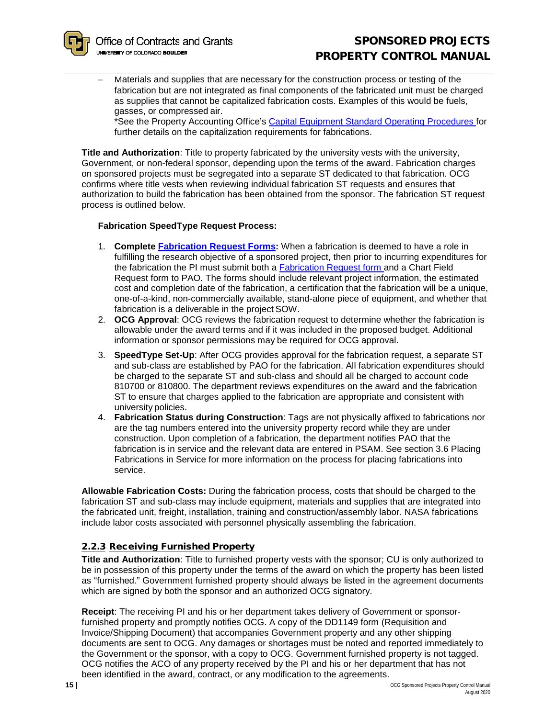Materials and supplies that are necessary for the construction process or testing of the fabrication but are not integrated as final components of the fabricated unit must be charged as supplies that cannot be capitalized fabrication costs. Examples of this would be fuels, gasses, or compressed air.

\*See the Property Accounting Office's [Capital Equipment Standard Operating Procedures f](https://www.colorado.edu/property/node/32/attachment)or further details on the capitalization requirements for fabrications.

**Title and Authorization**: Title to property fabricated by the university vests with the university, Government, or non-federal sponsor, depending upon the terms of the award. Fabrication charges on sponsored projects must be segregated into a separate ST dedicated to that fabrication. OCG confirms where title vests when reviewing individual fabrication ST requests and ensures that authorization to build the fabrication has been obtained from the sponsor. The fabrication ST request process is outlined below.

#### **Fabrication SpeedType Request Process:**

- 1. **Complete [Fabrication Request Forms:](https://www.colorado.edu/ocg/fabrication-tag-request)** When a fabrication is deemed to have a role in fulfilling the research objective of a sponsored project, then prior to incurring expenditures for the fabrication the PI must submit both a [Fabrication Request form a](https://www.colorado.edu/ocg/fabrication-tag-request)nd a Chart Field Request form to PAO. The forms should include relevant project information, the estimated cost and completion date of the fabrication, a certification that the fabrication will be a unique, one-of-a-kind, non-commercially available, stand-alone piece of equipment, and whether that fabrication is a deliverable in the project SOW.
- 2. **OCG Approval**: OCG reviews the fabrication request to determine whether the fabrication is allowable under the award terms and if it was included in the proposed budget. Additional information or sponsor permissions may be required for OCG approval.
- 3. **SpeedType Set-Up**: After OCG provides approval for the fabrication request, a separate ST and sub-class are established by PAO for the fabrication. All fabrication expenditures should be charged to the separate ST and sub-class and should all be charged to account code 810700 or 810800. The department reviews expenditures on the award and the fabrication ST to ensure that charges applied to the fabrication are appropriate and consistent with university policies.
- 4. **Fabrication Status during Construction**: Tags are not physically affixed to fabrications nor are the tag numbers entered into the university property record while they are under construction. Upon completion of a fabrication, the department notifies PAO that the fabrication is in service and the relevant data are entered in PSAM. See section 3.6 Placing Fabrications in Service for more information on the process for placing fabrications into service.

**Allowable Fabrication Costs:** During the fabrication process, costs that should be charged to the fabrication ST and sub-class may include equipment, materials and supplies that are integrated into the fabricated unit, freight, installation, training and construction/assembly labor. NASA fabrications include labor costs associated with personnel physically assembling the fabrication.

## <span id="page-14-0"></span>2.2.3 Receiving Furnished Property

**Title and Authorization**: Title to furnished property vests with the sponsor; CU is only authorized to be in possession of this property under the terms of the award on which the property has been listed as "furnished." Government furnished property should always be listed in the agreement documents which are signed by both the sponsor and an authorized OCG signatory.

**Receipt**: The receiving PI and his or her department takes delivery of Government or sponsorfurnished property and promptly notifies OCG. A copy of the DD1149 form (Requisition and Invoice/Shipping Document) that accompanies Government property and any other shipping documents are sent to OCG. Any damages or shortages must be noted and reported immediately to the Government or the sponsor, with a copy to OCG. Government furnished property is not tagged. OCG notifies the ACO of any property received by the PI and his or her department that has not been identified in the award, contract, or any modification to the agreements.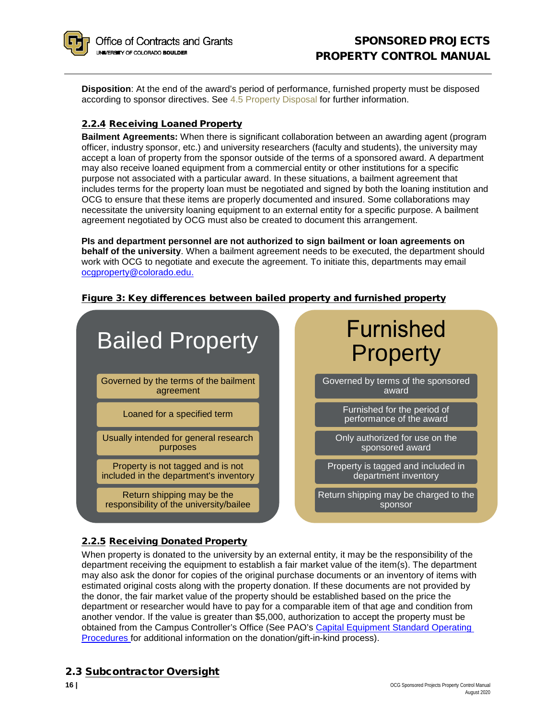

**Disposition**: At the end of the award's period of performance, furnished property must be disposed according to sponsor directives. See [4.5 Property Disposal](#page-25-1) for further information.

# <span id="page-15-0"></span>2.2.4 Receiving Loaned Property

**Bailment Agreements:** When there is significant collaboration between an awarding agent (program officer, industry sponsor, etc.) and university researchers (faculty and students), the university may accept a loan of property from the sponsor outside of the terms of a sponsored award. A department may also receive loaned equipment from a commercial entity or other institutions for a specific purpose not associated with a particular award. In these situations, a bailment agreement that includes terms for the property loan must be negotiated and signed by both the loaning institution and OCG to ensure that these items are properly documented and insured. Some collaborations may necessitate the university loaning equipment to an external entity for a specific purpose. A bailment agreement negotiated by OCG must also be created to document this arrangement.

**PIs and department personnel are not authorized to sign bailment or loan agreements on behalf of the university**. When a bailment agreement needs to be executed, the department should work with OCG to negotiate and execute the agreement. To initiate this, departments may email [ocgproperty@colorado.edu.](mailto:ocgcompliance@colorado.edu)



#### <span id="page-15-1"></span>Figure 3: Key differences between bailed property and furnished property

# <span id="page-15-2"></span>2.2.5 Receiving Donated Property

When property is donated to the university by an external entity, it may be the responsibility of the department receiving the equipment to establish a fair market value of the item(s). The department may also ask the donor for copies of the original purchase documents or an inventory of items with estimated original costs along with the property donation. If these documents are not provided by the donor, the fair market value of the property should be established based on the price the department or researcher would have to pay for a comparable item of that age and condition from another vendor. If the value is greater than \$5,000, authorization to accept the property must be obtained from the Campus Controller's Office (See PAO's [Capital Equipment Standard Operating](https://www.colorado.edu/property/node/32/attachment)  [Procedures f](https://www.colorado.edu/property/node/32/attachment)or additional information on the donation/gift-in-kind process).

# <span id="page-15-3"></span>2.3 Subcontractor Oversight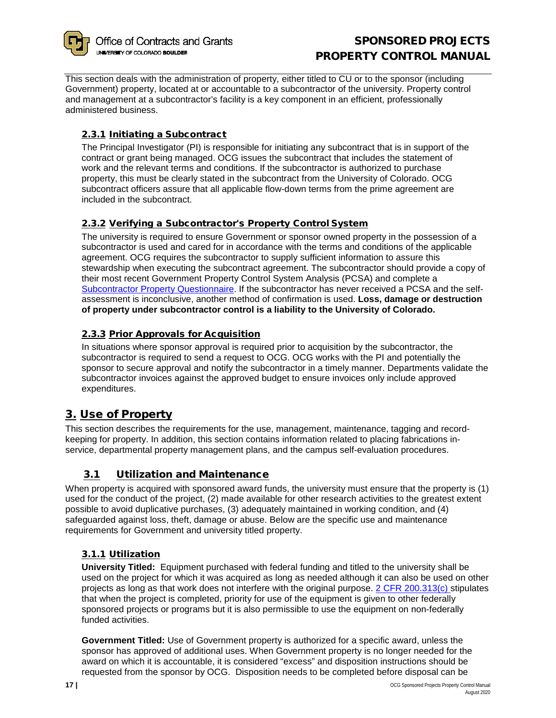

This section deals with the administration of property, either titled to CU or to the sponsor (including Government) property, located at or accountable to a subcontractor of the university. Property control and management at a subcontractor's facility is a key component in an efficient, professionally administered business.

# <span id="page-16-0"></span>2.3.1 Initiating a Subcontract

The Principal Investigator (PI) is responsible for initiating any subcontract that is in support of the contract or grant being managed. OCG issues the subcontract that includes the statement of work and the relevant terms and conditions. If the subcontractor is authorized to purchase property, this must be clearly stated in the subcontract from the University of Colorado. OCG subcontract officers assure that all applicable flow-down terms from the prime agreement are included in the subcontract.

# <span id="page-16-1"></span>2.3.2 Verifying a Subcontractor's Property Control System

The university is required to ensure Government or sponsor owned property in the possession of a subcontractor is used and cared for in accordance with the terms and conditions of the applicable agreement. OCG requires the subcontractor to supply sufficient information to assure this stewardship when executing the subcontract agreement. The subcontractor should provide a copy of their most recent Government Property Control System Analysis (PCSA) and complete a [Subcontractor Property Questionnaire.](http://www.colorado.edu/ocg/sites/default/files/attached-files/ocg-301_off-site_subagreement_property_questionnaire.pdf) If the subcontractor has never received a PCSA and the selfassessment is inconclusive, another method of confirmation is used. **Loss, damage or destruction of property under subcontractor control is a liability to the University of Colorado.**

# <span id="page-16-2"></span>2.3.3 Prior Approvals for Acquisition

In situations where sponsor approval is required prior to acquisition by the subcontractor, the subcontractor is required to send a request to OCG. OCG works with the PI and potentially the sponsor to secure approval and notify the subcontractor in a timely manner. Departments validate the subcontractor invoices against the approved budget to ensure invoices only include approved expenditures.

# <span id="page-16-3"></span>3. Use of Property

This section describes the requirements for the use, management, maintenance, tagging and recordkeeping for property. In addition, this section contains information related to placing fabrications inservice, departmental property management plans, and the campus self-evaluation procedures.

# 3.1 Utilization and Maintenance

<span id="page-16-4"></span>When property is acquired with sponsored award funds, the university must ensure that the property is (1) used for the conduct of the project, (2) made available for other research activities to the greatest extent possible to avoid duplicative purchases, (3) adequately maintained in working condition, and (4) safeguarded against loss, theft, damage or abuse. Below are the specific use and maintenance requirements for Government and university titled property.

# <span id="page-16-5"></span>3.1.1 Utilization

**University Titled:** Equipment purchased with federal funding and titled to the university shall be used on the project for which it was acquired as long as needed although it can also be used on other projects as long as that work does not interfere with the original purpose. [2 CFR 200.313\(c\) s](http://www.ecfr.gov/cgi-bin/text-idx?SID=c16296aecfef71d582e0634cf6658cf1&node=2%3A1.1.2.2.1.4.30.14&rgn=div8)tipulates that when the project is completed, priority for use of the equipment is given to other federally sponsored projects or programs but it is also permissible to use the equipment on non-federally funded activities.

**Government Titled:** Use of Government property is authorized for a specific award, unless the sponsor has approved of additional uses. When Government property is no longer needed for the award on which it is accountable, it is considered "excess" and disposition instructions should be requested from the sponsor by OCG. Disposition needs to be completed before disposal can be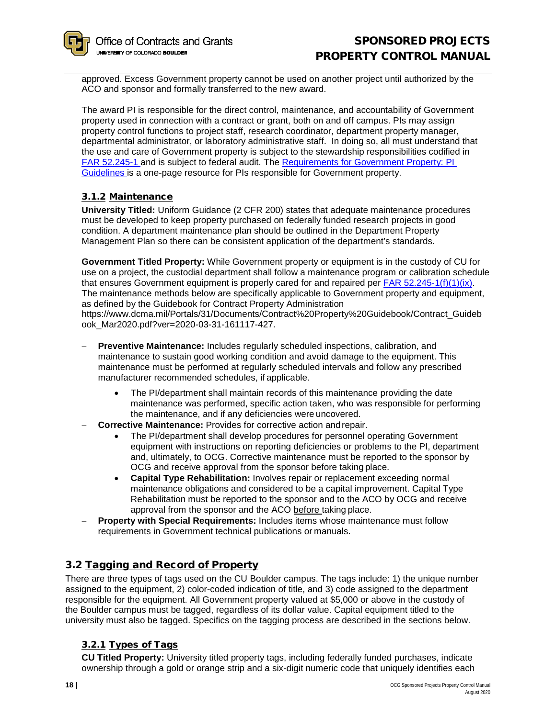approved. Excess Government property cannot be used on another project until authorized by the ACO and sponsor and formally transferred to the new award.

The award PI is responsible for the direct control, maintenance, and accountability of Government property used in connection with a contract or grant, both on and off campus. PIs may assign property control functions to project staff, research coordinator, department property manager, departmental administrator, or laboratory administrative staff. In doing so, all must understand that the use and care of Government property is subject to the stewardship responsibilities codified in [FAR 52.245-1 a](https://www.acquisition.gov/far/current/html/52_245.html)nd is subject to federal audit. The [Requirements for Government Property: PI](http://www.colorado.edu/ocg/sites/default/files/attached-files/ocg-409_pi_guide_for_managing_government_property.pdf)  [Guidelines i](http://www.colorado.edu/ocg/sites/default/files/attached-files/ocg-409_pi_guide_for_managing_government_property.pdf)s a one-page resource for PIs responsible for Government property.

# <span id="page-17-0"></span>3.1.2 Maintenance

**University Titled:** Uniform Guidance (2 CFR 200) states that adequate maintenance procedures must be developed to keep property purchased on federally funded research projects in good condition. A department maintenance plan should be outlined in the Department Property Management Plan so there can be consistent application of the department's standards.

**Government Titled Property:** While Government property or equipment is in the custody of CU for use on a project, the custodial department shall follow a maintenance program or calibration schedule that ensures Government equipment is properly cared for and repaired per FAR  $52.245-1(f)(1)(ix)$ . The maintenance methods below are specifically applicable to Government property and equipment, as defined by the Guidebook for Contract Property Administration https://www.dcma.mil/Portals/31/Documents/Contract%20Property%20Guidebook/Contract\_Guideb ook\_Mar2020.pdf?ver=2020-03-31-161117-427.

- **Preventive Maintenance:** Includes regularly scheduled inspections, calibration, and maintenance to sustain good working condition and avoid damage to the equipment. This maintenance must be performed at regularly scheduled intervals and follow any prescribed manufacturer recommended schedules, if applicable.
	- The PI/department shall maintain records of this maintenance providing the date maintenance was performed, specific action taken, who was responsible for performing the maintenance, and if any deficiencies were uncovered.
- − **Corrective Maintenance:** Provides for corrective action andrepair.
	- The PI/department shall develop procedures for personnel operating Government equipment with instructions on reporting deficiencies or problems to the PI, department and, ultimately, to OCG. Corrective maintenance must be reported to the sponsor by OCG and receive approval from the sponsor before taking place.
	- **Capital Type Rehabilitation:** Involves repair or replacement exceeding normal maintenance obligations and considered to be a capital improvement. Capital Type Rehabilitation must be reported to the sponsor and to the ACO by OCG and receive approval from the sponsor and the ACO before taking place.
- **Property with Special Requirements: Includes items whose maintenance must follow** requirements in Government technical publications or manuals.

# <span id="page-17-1"></span>3.2 Tagging and Record of Property

There are three types of tags used on the CU Boulder campus. The tags include: 1) the unique number assigned to the equipment, 2) color-coded indication of title, and 3) code assigned to the department responsible for the equipment. All Government property valued at \$5,000 or above in the custody of the Boulder campus must be tagged, regardless of its dollar value. Capital equipment titled to the university must also be tagged. Specifics on the tagging process are described in the sections below.

# <span id="page-17-2"></span>3.2.1 Types of Tags

**CU Titled Property:** University titled property tags, including federally funded purchases, indicate ownership through a gold or orange strip and a six-digit numeric code that uniquely identifies each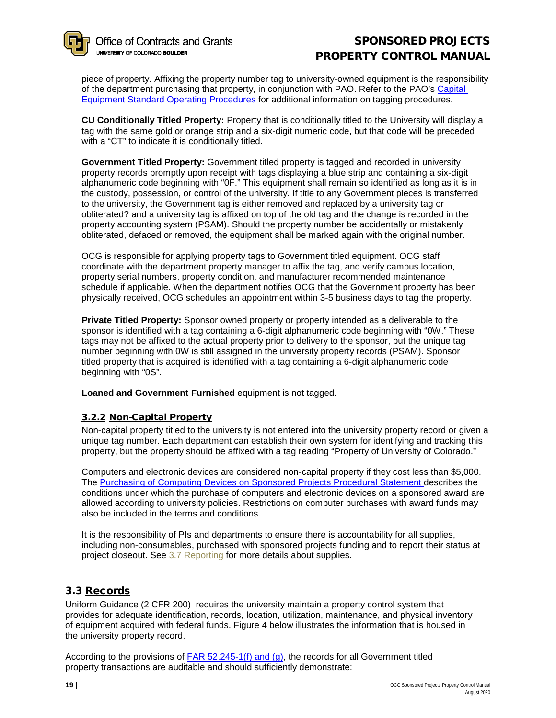piece of property. Affixing the property number tag to university-owned equipment is the responsibility of the department purchasing that property, in conjunction with PAO. Refer to the PAO's [Capital](https://www.colorado.edu/property/node/32/attachment)  [Equipment Standard Operating Procedures f](https://www.colorado.edu/property/node/32/attachment)or additional information on tagging procedures.

**CU Conditionally Titled Property:** Property that is conditionally titled to the University will display a tag with the same gold or orange strip and a six-digit numeric code, but that code will be preceded with a "CT" to indicate it is conditionally titled.

**Government Titled Property:** Government titled property is tagged and recorded in university property records promptly upon receipt with tags displaying a blue strip and containing a six-digit alphanumeric code beginning with "0F." This equipment shall remain so identified as long as it is in the custody, possession, or control of the university. If title to any Government pieces is transferred to the university, the Government tag is either removed and replaced by a university tag or obliterated? and a university tag is affixed on top of the old tag and the change is recorded in the property accounting system (PSAM). Should the property number be accidentally or mistakenly obliterated, defaced or removed, the equipment shall be marked again with the original number.

OCG is responsible for applying property tags to Government titled equipment. OCG staff coordinate with the department property manager to affix the tag, and verify campus location, property serial numbers, property condition, and manufacturer recommended maintenance schedule if applicable. When the department notifies OCG that the Government property has been physically received, OCG schedules an appointment within 3-5 business days to tag the property.

**Private Titled Property:** Sponsor owned property or property intended as a deliverable to the sponsor is identified with a tag containing a 6-digit alphanumeric code beginning with "0W." These tags may not be affixed to the actual property prior to delivery to the sponsor, but the unique tag number beginning with 0W is still assigned in the university property records (PSAM). Sponsor titled property that is acquired is identified with a tag containing a 6-digit alphanumeric code beginning with "0S".

**Loaned and Government Furnished** equipment is not tagged.

## <span id="page-18-0"></span>3.2.2 Non-Capital Property

Non-capital property titled to the university is not entered into the university property record or given a unique tag number. Each department can establish their own system for identifying and tracking this property, but the property should be affixed with a tag reading "Property of University of Colorado."

Computers and electronic devices are considered non-capital property if they cost less than \$5,000. The [Purchasing of Computing Devices on Sponsored Projects Procedural Statement d](http://www.colorado.edu/controller/sites/default/files/attached-files/procedural_statement_computing_devices_2016_v1a.pdf)escribes the conditions under which the purchase of computers and electronic devices on a sponsored award are allowed according to university policies. Restrictions on computer purchases with award funds may also be included in the terms and conditions.

It is the responsibility of PIs and departments to ensure there is accountability for all supplies, including non-consumables, purchased with sponsored projects funding and to report their status at project closeout. See [3.7 Reporting](#page-21-2) for more details about supplies.

# <span id="page-18-1"></span>3.3 Records

Uniform Guidance (2 CFR 200) requires the university maintain a property control system that provides for adequate identification, records, location, utilization, maintenance, and physical inventory of equipment acquired with federal funds. Figure 4 below illustrates the information that is housed in the university property record.

According to the provisions of  $FAR$  52.245-1(f) and (g), the records for all Government titled property transactions are auditable and should sufficiently demonstrate: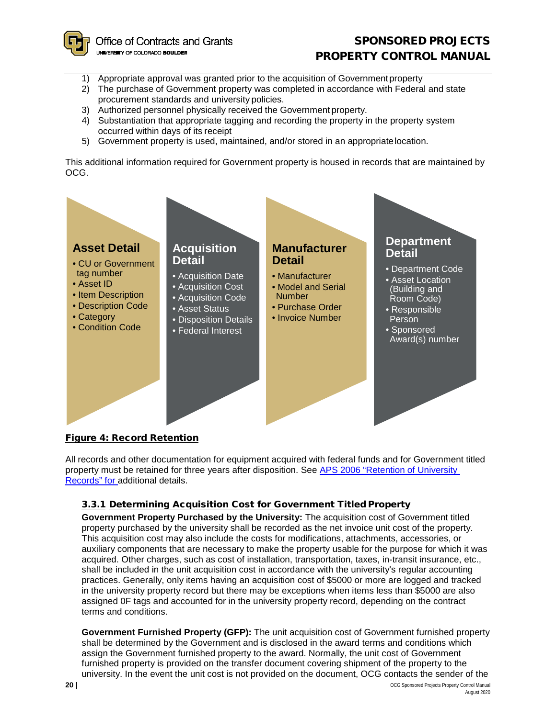

# SPONSORED PROJECTS PROPERTY CONTROL MANUAL

- 1) Appropriate approval was granted prior to the acquisition of Governmentproperty
- 2) The purchase of Government property was completed in accordance with Federal and state procurement standards and university policies.
- 3) Authorized personnel physically received the Government property.
- 4) Substantiation that appropriate tagging and recording the property in the property system occurred within days of its receipt
- 5) Government property is used, maintained, and/or stored in an appropriatelocation.

This additional information required for Government property is housed in records that are maintained by OCG.



## <span id="page-19-0"></span>Figure 4: Record Retention

All records and other documentation for equipment acquired with federal funds and for Government titled property must be retained for three years after disposition. See [APS 2006 "Retention of University](http://www.cu.edu/ope/aps/2006) [Records" for a](http://www.cu.edu/ope/aps/2006)dditional details.

## <span id="page-19-1"></span>3.3.1 Determining Acquisition Cost for Government Titled Property

**Government Property Purchased by the University:** The acquisition cost of Government titled property purchased by the university shall be recorded as the net invoice unit cost of the property. This acquisition cost may also include the costs for modifications, attachments, accessories, or auxiliary components that are necessary to make the property usable for the purpose for which it was acquired. Other charges, such as cost of installation, transportation, taxes, in-transit insurance, etc., shall be included in the unit acquisition cost in accordance with the university's regular accounting practices. Generally, only items having an acquisition cost of \$5000 or more are logged and tracked in the university property record but there may be exceptions when items less than \$5000 are also assigned 0F tags and accounted for in the university property record, depending on the contract terms and conditions.

**Government Furnished Property (GFP):** The unit acquisition cost of Government furnished property shall be determined by the Government and is disclosed in the award terms and conditions which assign the Government furnished property to the award. Normally, the unit cost of Government furnished property is provided on the transfer document covering shipment of the property to the university. In the event the unit cost is not provided on the document, OCG contacts the sender of the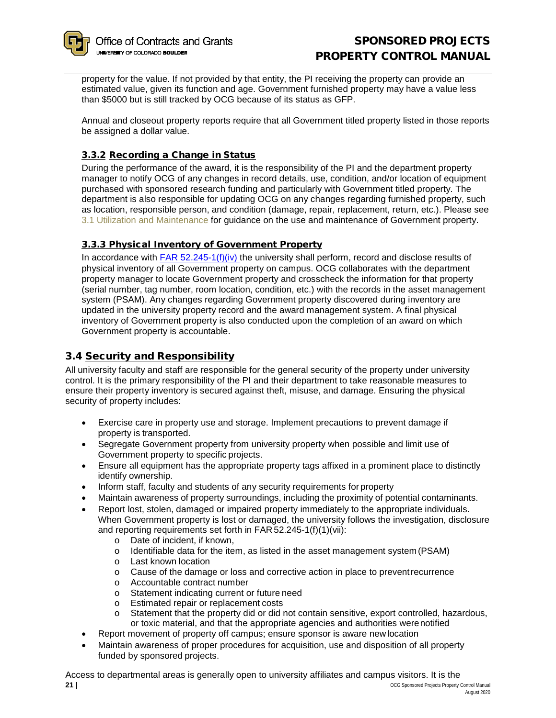

property for the value. If not provided by that entity, the PI receiving the property can provide an estimated value, given its function and age. Government furnished property may have a value less than \$5000 but is still tracked by OCG because of its status as GFP.

Annual and closeout property reports require that all Government titled property listed in those reports be assigned a dollar value.

# <span id="page-20-0"></span>3.3.2 Recording a Change in Status

During the performance of the award, it is the responsibility of the PI and the department property manager to notify OCG of any changes in record details, use, condition, and/or location of equipment purchased with sponsored research funding and particularly with Government titled property. The department is also responsible for updating OCG on any changes regarding furnished property, such as location, responsible person, and condition (damage, repair, replacement, return, etc.). Please see [3.1 Utilization and Maintenance](#page-16-4) for guidance on the use and maintenance of Government property.

# <span id="page-20-1"></span>3.3.3 Physical Inventory of Government Property

In accordance with [FAR 52.245-1\(f](https://www.acquisition.gov/far/current/html/52_245.html))(iv) the university shall perform, record and disclose results of physical inventory of all Government property on campus. OCG collaborates with the department property manager to locate Government property and crosscheck the information for that property (serial number, tag number, room location, condition, etc.) with the records in the asset management system (PSAM). Any changes regarding Government property discovered during inventory are updated in the university property record and the award management system. A final physical inventory of Government property is also conducted upon the completion of an award on which Government property is accountable.

# <span id="page-20-2"></span>3.4 Security and Responsibility

All university faculty and staff are responsible for the general security of the property under university control. It is the primary responsibility of the PI and their department to take reasonable measures to ensure their property inventory is secured against theft, misuse, and damage. Ensuring the physical security of property includes:

- Exercise care in property use and storage. Implement precautions to prevent damage if property is transported.
- Segregate Government property from university property when possible and limit use of Government property to specific projects.
- Ensure all equipment has the appropriate property tags affixed in a prominent place to distinctly identify ownership.
- Inform staff, faculty and students of any security requirements for property
- Maintain awareness of property surroundings, including the proximity of potential contaminants.
- Report lost, stolen, damaged or impaired property immediately to the appropriate individuals. When Government property is lost or damaged, the university follows the investigation, disclosure and reporting requirements set forth in FAR 52.245-1(f)(1)(vii):
	-
	- $\circ$  Date of incident, if known,<br> $\circ$  Identifiable data for the ite Identifiable data for the item, as listed in the asset management system (PSAM)
	- o Last known location
	- o Cause of the damage or loss and corrective action in place to preventrecurrence
	- o Accountable contract number
	- o Statement indicating current or future need
	- Estimated repair or replacement costs<br>○ Statement that the property did or did i
	- Statement that the property did or did not contain sensitive, export controlled, hazardous, or toxic material, and that the appropriate agencies and authorities werenotified
- Report movement of property off campus; ensure sponsor is aware newlocation
- Maintain awareness of proper procedures for acquisition, use and disposition of all property funded by sponsored projects.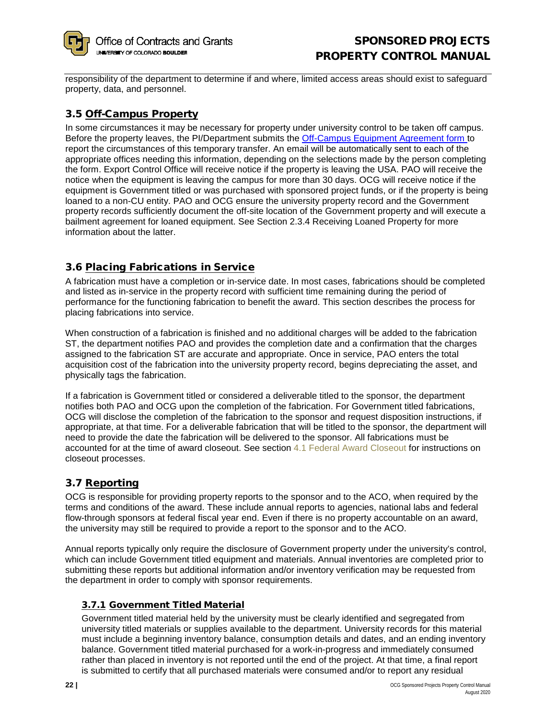

responsibility of the department to determine if and where, limited access areas should exist to safeguard property, data, and personnel.

# <span id="page-21-0"></span>3.5 Off-Campus Property

In some circumstances it may be necessary for property under university control to be taken off campus. Before the property leaves, the PI/Department submits the [Off-Campus Equipment Agreement form t](https://www.colorado.edu/ocg/campus-equipment-agreement-form)o report the circumstances of this temporary transfer. An email will be automatically sent to each of the appropriate offices needing this information, depending on the selections made by the person completing the form. Export Control Office will receive notice if the property is leaving the USA. PAO will receive the notice when the equipment is leaving the campus for more than 30 days. OCG will receive notice if the equipment is Government titled or was purchased with sponsored project funds, or if the property is being loaned to a non-CU entity. PAO and OCG ensure the university property record and the Government property records sufficiently document the off-site location of the Government property and will execute a bailment agreement for loaned equipment. See Section 2.3.4 Receiving Loaned Property for more information about the latter.

# <span id="page-21-1"></span>3.6 Placing Fabrications in Service

A fabrication must have a completion or in-service date. In most cases, fabrications should be completed and listed as in-service in the property record with sufficient time remaining during the period of performance for the functioning fabrication to benefit the award. This section describes the process for placing fabrications into service.

When construction of a fabrication is finished and no additional charges will be added to the fabrication ST, the department notifies PAO and provides the completion date and a confirmation that the charges assigned to the fabrication ST are accurate and appropriate. Once in service, PAO enters the total acquisition cost of the fabrication into the university property record, begins depreciating the asset, and physically tags the fabrication.

If a fabrication is Government titled or considered a deliverable titled to the sponsor, the department notifies both PAO and OCG upon the completion of the fabrication. For Government titled fabrications, OCG will disclose the completion of the fabrication to the sponsor and request disposition instructions, if appropriate, at that time. For a deliverable fabrication that will be titled to the sponsor, the department will need to provide the date the fabrication will be delivered to the sponsor. All fabrications must be accounted for at the time of award closeout. See section [4.1 Federal Award Closeout](#page-23-1) for instructions on closeout processes.

# <span id="page-21-2"></span>3.7 Reporting

OCG is responsible for providing property reports to the sponsor and to the ACO, when required by the terms and conditions of the award. These include annual reports to agencies, national labs and federal flow-through sponsors at federal fiscal year end. Even if there is no property accountable on an award, the university may still be required to provide a report to the sponsor and to the ACO.

Annual reports typically only require the disclosure of Government property under the university's control, which can include Government titled equipment and materials. Annual inventories are completed prior to submitting these reports but additional information and/or inventory verification may be requested from the department in order to comply with sponsor requirements.

# <span id="page-21-3"></span>3.7.1 Government Titled Material

Government titled material held by the university must be clearly identified and segregated from university titled materials or supplies available to the department. University records for this material must include a beginning inventory balance, consumption details and dates, and an ending inventory balance. Government titled material purchased for a work-in-progress and immediately consumed rather than placed in inventory is not reported until the end of the project. At that time, a final report is submitted to certify that all purchased materials were consumed and/or to report any residual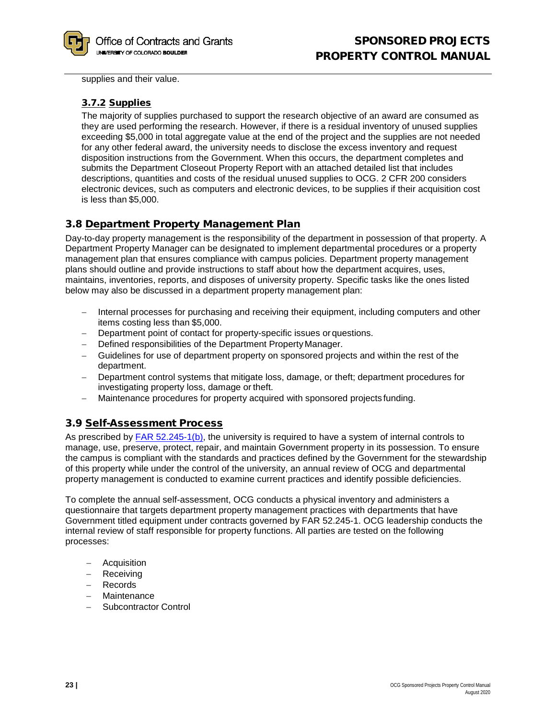

supplies and their value.

# <span id="page-22-0"></span>3.7.2 Supplies

The majority of supplies purchased to support the research objective of an award are consumed as they are used performing the research. However, if there is a residual inventory of unused supplies exceeding \$5,000 in total aggregate value at the end of the project and the supplies are not needed for any other federal award, the university needs to disclose the excess inventory and request disposition instructions from the Government. When this occurs, the department completes and submits the Department Closeout Property Report with an attached detailed list that includes descriptions, quantities and costs of the residual unused supplies to OCG. 2 CFR 200 considers electronic devices, such as computers and electronic devices, to be supplies if their acquisition cost is less than \$5,000.

# <span id="page-22-1"></span>3.8 Department Property Management Plan

Day-to-day property management is the responsibility of the department in possession of that property. A Department Property Manager can be designated to implement departmental procedures or a property management plan that ensures compliance with campus policies. Department property management plans should outline and provide instructions to staff about how the department acquires, uses, maintains, inventories, reports, and disposes of university property. Specific tasks like the ones listed below may also be discussed in a department property management plan:

- − Internal processes for purchasing and receiving their equipment, including computers and other items costing less than \$5,000.
- − Department point of contact for property-specific issues or questions.
- − Defined responsibilities of the Department Property Manager.
- − Guidelines for use of department property on sponsored projects and within the rest of the department.
- − Department control systems that mitigate loss, damage, or theft; department procedures for investigating property loss, damage or theft.
- − Maintenance procedures for property acquired with sponsored projects funding.

# <span id="page-22-2"></span>3.9 Self-Assessment Process

As prescribed by [FAR 52.245-1\(b\),](https://www.acquisition.gov/far/current/html/52_245.html) the university is required to have a system of internal controls to manage, use, preserve, protect, repair, and maintain Government property in its possession. To ensure the campus is compliant with the standards and practices defined by the Government for the stewardship of this property while under the control of the university, an annual review of OCG and departmental property management is conducted to examine current practices and identify possible deficiencies.

To complete the annual self-assessment, OCG conducts a physical inventory and administers a questionnaire that targets department property management practices with departments that have Government titled equipment under contracts governed by FAR 52.245-1. OCG leadership conducts the internal review of staff responsible for property functions. All parties are tested on the following processes:

- − Acquisition
- − Receiving
- − Records
- − Maintenance
- − Subcontractor Control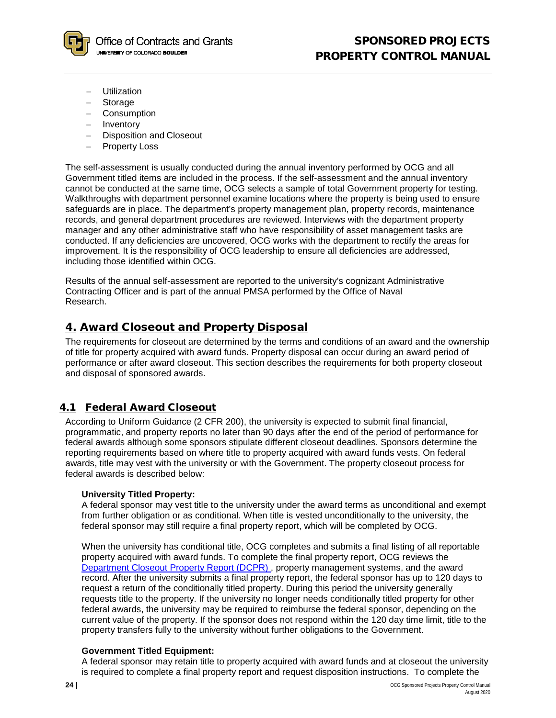

- − Utilization
- − Storage
- − Consumption
- − Inventory
- − Disposition and Closeout
- − Property Loss

The self-assessment is usually conducted during the annual inventory performed by OCG and all Government titled items are included in the process. If the self-assessment and the annual inventory cannot be conducted at the same time, OCG selects a sample of total Government property for testing. Walkthroughs with department personnel examine locations where the property is being used to ensure safeguards are in place. The department's property management plan, property records, maintenance records, and general department procedures are reviewed. Interviews with the department property manager and any other administrative staff who have responsibility of asset management tasks are conducted. If any deficiencies are uncovered, OCG works with the department to rectify the areas for improvement. It is the responsibility of OCG leadership to ensure all deficiencies are addressed, including those identified within OCG.

Results of the annual self-assessment are reported to the university's cognizant Administrative Contracting Officer and is part of the annual PMSA performed by the Office of Naval Research.

# <span id="page-23-0"></span>4. Award Closeout and Property Disposal

The requirements for closeout are determined by the terms and conditions of an award and the ownership of title for property acquired with award funds. Property disposal can occur during an award period of performance or after award closeout. This section describes the requirements for both property closeout and disposal of sponsored awards.

# <span id="page-23-1"></span>4.1 Federal Award Closeout

According to Uniform Guidance (2 CFR 200), the university is expected to submit final financial, programmatic, and property reports no later than 90 days after the end of the period of performance for federal awards although some sponsors stipulate different closeout deadlines. Sponsors determine the reporting requirements based on where title to property acquired with award funds vests. On federal awards, title may vest with the university or with the Government. The property closeout process for federal awards is described below:

#### **University Titled Property:**

A federal sponsor may vest title to the university under the award terms as unconditional and exempt from further obligation or as conditional. When title is vested unconditionally to the university, the federal sponsor may still require a final property report, which will be completed by OCG.

When the university has conditional title, OCG completes and submits a final listing of all reportable property acquired with award funds. To complete the final property report, OCG reviews the Department Closeout Property Report (DCPR) , property management systems, and the award record. After the university submits a final property report, the federal sponsor has up to 120 days to request a return of the conditionally titled property. During this period the university generally requests title to the property. If the university no longer needs conditionally titled property for other federal awards, the university may be required to reimburse the federal sponsor, depending on the current value of the property. If the sponsor does not respond within the 120 day time limit, title to the property transfers fully to the university without further obligations to the Government.

## **Government Titled Equipment:**

A federal sponsor may retain title to property acquired with award funds and at closeout the university is required to complete a final property report and request disposition instructions. To complete the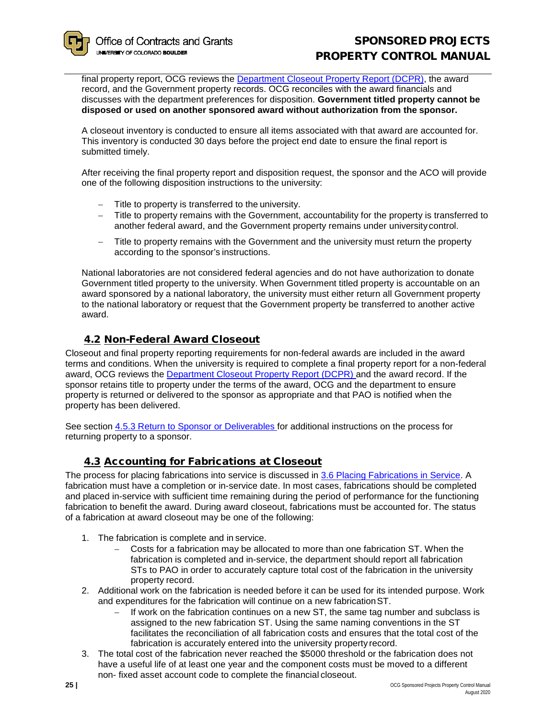# SPONSORED PROJECTS PROPERTY CONTROL MANUAL

final property report, OCG reviews the [Department Closeout](http://www.colorado.edu/ocg/sites/default/files/attached-files/ocg-408_department_closeout_property_report_0.pdf) [Property Report \(DCPR\),](http://www.colorado.edu/ocg/sites/default/files/attached-files/ocg-408_department_closeout_property_report_0.pdf) the award record, and the Government property records. OCG reconciles with the award financials and discusses with the department preferences for disposition. **Government titled property cannot be disposed or used on another sponsored award without authorization from the sponsor.**

A closeout inventory is conducted to ensure all items associated with that award are accounted for. This inventory is conducted 30 days before the project end date to ensure the final report is submitted timely.

After receiving the final property report and disposition request, the sponsor and the ACO will provide one of the following disposition instructions to the university:

- Title to property is transferred to the university.
- − Title to property remains with the Government, accountability for the property is transferred to another federal award, and the Government property remains under universitycontrol.
- − Title to property remains with the Government and the university must return the property according to the sponsor's instructions.

National laboratories are not considered federal agencies and do not have authorization to donate Government titled property to the university. When Government titled property is accountable on an award sponsored by a national laboratory, the university must either return all Government property to the national laboratory or request that the Government property be transferred to another active award.

# 4.2 Non-Federal Award Closeout

<span id="page-24-0"></span>Closeout and final property reporting requirements for non-federal awards are included in the award terms and conditions. When the university is required to complete a final property report for a non-federal award, OCG reviews the **Department Closeout Property Report (DCPR)** and the award record. If the sponsor retains title to property under the terms of the award, OCG and the department to ensure property is returned or delivered to the sponsor as appropriate and that PAO is notified when the property has been delivered.

See section [4.5.3 Return to Sponsor or Deliverables f](#page-26-1)or additional instructions on the process for returning property to a sponsor.

# 4.3 Accounting for Fabrications at Closeout

<span id="page-24-1"></span>The process for placing fabrications into service is discussed in [3.6 Placing Fabrications in Service.](#page-21-1) A fabrication must have a completion or in-service date. In most cases, fabrications should be completed and placed in-service with sufficient time remaining during the period of performance for the functioning fabrication to benefit the award. During award closeout, fabrications must be accounted for. The status of a fabrication at award closeout may be one of the following:

- 1. The fabrication is complete and in service.
	- − Costs for a fabrication may be allocated to more than one fabrication ST. When the fabrication is completed and in-service, the department should report all fabrication STs to PAO in order to accurately capture total cost of the fabrication in the university property record.
- 2. Additional work on the fabrication is needed before it can be used for its intended purpose. Work and expenditures for the fabrication will continue on a new fabricationST.
	- If work on the fabrication continues on a new ST, the same tag number and subclass is assigned to the new fabrication ST. Using the same naming conventions in the ST facilitates the reconciliation of all fabrication costs and ensures that the total cost of the fabrication is accurately entered into the university property record.
- 3. The total cost of the fabrication never reached the \$5000 threshold or the fabrication does not have a useful life of at least one year and the component costs must be moved to a different non- fixed asset account code to complete the financial closeout.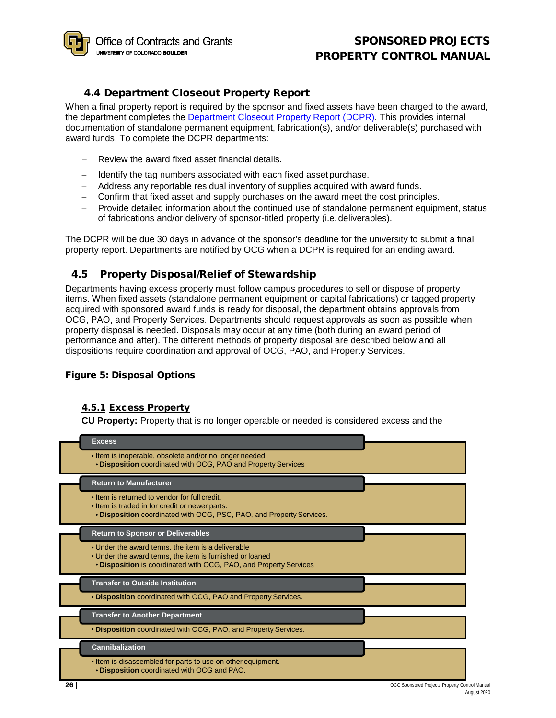# 4.4 Department Closeout Property Report

<span id="page-25-0"></span>When a final property report is required by the sponsor and fixed assets have been charged to the award, the department completes the [Department Closeout Property Report \(DCPR\).](http://www.colorado.edu/ocg/sites/default/files/attached-files/ocg-408_department_closeout_property_report_0.pdf) This provides internal documentation of standalone permanent equipment, fabrication(s), and/or deliverable(s) purchased with award funds. To complete the DCPR departments:

- − Review the award fixed asset financial details.
- − Identify the tag numbers associated with each fixed asset purchase.
- − Address any reportable residual inventory of supplies acquired with award funds.
- − Confirm that fixed asset and supply purchases on the award meet the cost principles.
- − Provide detailed information about the continued use of standalone permanent equipment, status of fabrications and/or delivery of sponsor-titled property (i.e.deliverables).

The DCPR will be due 30 days in advance of the sponsor's deadline for the university to submit a final property report. Departments are notified by OCG when a DCPR is required for an ending award.

# <span id="page-25-1"></span>4.5 Property Disposal/Relief of Stewardship

Departments having excess property must follow campus procedures to sell or dispose of property items. When fixed assets (standalone permanent equipment or capital fabrications) or tagged property acquired with sponsored award funds is ready for disposal, the department obtains approvals from OCG, PAO, and Property Services. Departments should request approvals as soon as possible when property disposal is needed. Disposals may occur at any time (both during an award period of performance and after). The different methods of property disposal are described below and all dispositions require coordination and approval of OCG, PAO, and Property Services.

# <span id="page-25-2"></span>Figure 5: Disposal Options

## <span id="page-25-3"></span>4.5.1 Excess Property

**CU Property:** Property that is no longer operable or needed is considered excess and the

|      | <b>Excess</b>                                                                                                                                                                       |                                                |
|------|-------------------------------------------------------------------------------------------------------------------------------------------------------------------------------------|------------------------------------------------|
|      | • Item is inoperable, obsolete and/or no longer needed.<br><b>. Disposition</b> coordinated with OCG, PAO and Property Services                                                     |                                                |
|      | <b>Return to Manufacturer</b>                                                                                                                                                       |                                                |
|      | • Item is returned to vendor for full credit.<br>. Item is traded in for credit or newer parts.<br>. Disposition coordinated with OCG, PSC, PAO, and Property Services.             |                                                |
|      | <b>Return to Sponsor or Deliverables</b>                                                                                                                                            |                                                |
|      | • Under the award terms, the item is a deliverable<br>• Under the award terms, the item is furnished or loaned<br>. Disposition is coordinated with OCG, PAO, and Property Services |                                                |
|      | <b>Transfer to Outside Institution</b>                                                                                                                                              |                                                |
|      | . Disposition coordinated with OCG, PAO and Property Services.                                                                                                                      |                                                |
|      | <b>Transfer to Another Department</b>                                                                                                                                               |                                                |
|      | <b>• Disposition</b> coordinated with OCG, PAO, and Property Services.                                                                                                              |                                                |
|      | <b>Cannibalization</b>                                                                                                                                                              |                                                |
|      | . Item is disassembled for parts to use on other equipment.<br>. Disposition coordinated with OCG and PAO.                                                                          |                                                |
| ا 26 |                                                                                                                                                                                     | OCG Sponsored Projects Property Control Manual |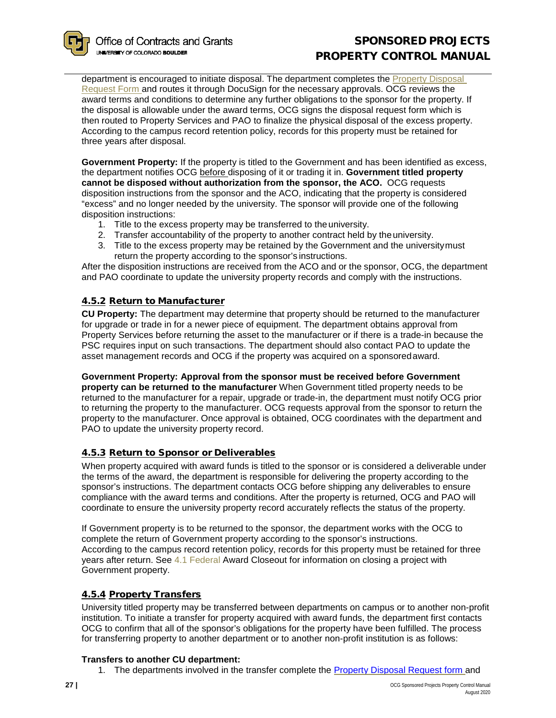

# SPONSORED PROJECTS PROPERTY CONTROL MANUAL

department is encouraged to initiate disposal. The department completes the Property Disposal [Request Form a](http://www.colorado.edu/ocg/sites/default/files/attached-files/ocg-411_property_disposal_request.pdf)nd routes it through DocuSign for the necessary approvals. OCG reviews the award terms and conditions to determine any further obligations to the sponsor for the property. If the disposal is allowable under the award terms, OCG signs the disposal request form which is then routed to Property Services and PAO to finalize the physical disposal of the excess property. According to the campus record retention policy, records for this property must be retained for three years after disposal.

**Government Property:** If the property is titled to the Government and has been identified as excess, the department notifies OCG before disposing of it or trading it in. **Government titled property cannot be disposed without authorization from the sponsor, the ACO.** OCG requests disposition instructions from the sponsor and the ACO, indicating that the property is considered "excess" and no longer needed by the university. The sponsor will provide one of the following disposition instructions:

- 1. Title to the excess property may be transferred to theuniversity.
- 2. Transfer accountability of the property to another contract held by theuniversity.
- 3. Title to the excess property may be retained by the Government and the universitymust return the property according to the sponsor's instructions.

After the disposition instructions are received from the ACO and or the sponsor, OCG, the department and PAO coordinate to update the university property records and comply with the instructions.

# <span id="page-26-0"></span>4.5.2 Return to Manufacturer

**CU Property:** The department may determine that property should be returned to the manufacturer for upgrade or trade in for a newer piece of equipment. The department obtains approval from Property Services before returning the asset to the manufacturer or if there is a trade-in because the PSC requires input on such transactions. The department should also contact PAO to update the asset management records and OCG if the property was acquired on a sponsoredaward.

**Government Property: Approval from the sponsor must be received before Government property can be returned to the manufacturer** When Government titled property needs to be returned to the manufacturer for a repair, upgrade or trade-in, the department must notify OCG prior to returning the property to the manufacturer. OCG requests approval from the sponsor to return the property to the manufacturer. Once approval is obtained, OCG coordinates with the department and PAO to update the university property record.

## <span id="page-26-1"></span>4.5.3 Return to Sponsor or Deliverables

When property acquired with award funds is titled to the sponsor or is considered a deliverable under the terms of the award, the department is responsible for delivering the property according to the sponsor's instructions. The department contacts OCG before shipping any deliverables to ensure compliance with the award terms and conditions. After the property is returned, OCG and PAO will coordinate to ensure the university property record accurately reflects the status of the property.

If Government property is to be returned to the sponsor, the department works with the OCG to complete the return of Government property according to the sponsor's instructions. According to the campus record retention policy, records for this property must be retained for three years after return. See [4.1 Federal Award Closeout](#page-23-1) for information on closing a project with Government property.

## <span id="page-26-2"></span>4.5.4 Property Transfers

University titled property may be transferred between departments on campus or to another non-profit institution. To initiate a transfer for property acquired with award funds, the department first contacts OCG to confirm that all of the sponsor's obligations for the property have been fulfilled. The process for transferring property to another department or to another non-profit institution is as follows:

## **Transfers to another CU department:**

1. The departments involved in the transfer complete the [Property Disposal Request form a](mailto:Property)nd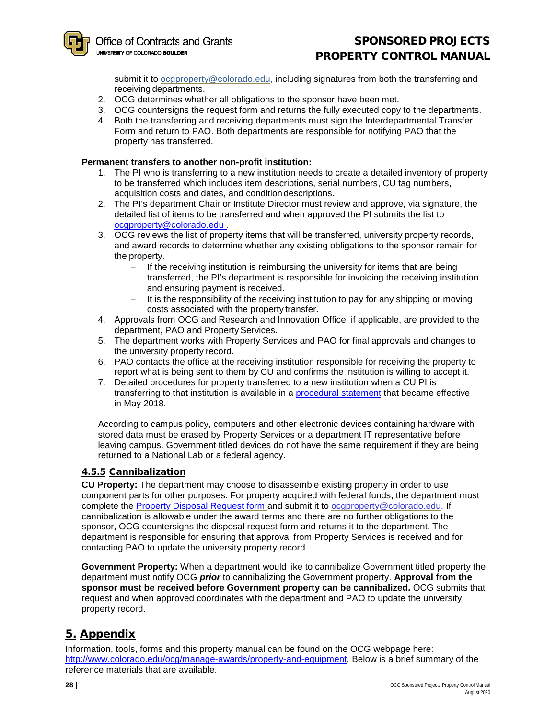submit it to [ocgproperty@colorado.edu,](mailto:ocgproperty@colorado.edu) including signatures from both the transferring and receiving departments.

- 2. OCG determines whether all obligations to the sponsor have been met.
- 3. OCG countersigns the request form and returns the fully executed copy to the departments.
- 4. Both the transferring and receiving departments must sign the Interdepartmental Transfer Form and return to PAO. Both departments are responsible for notifying PAO that the property has transferred.

#### **Permanent transfers to another non-profit institution:**

- 1. The PI who is transferring to a new institution needs to create a detailed inventory of property to be transferred which includes item descriptions, serial numbers, CU tag numbers, acquisition costs and dates, and condition descriptions.
- 2. The PI's department Chair or Institute Director must review and approve, via signature, the detailed list of items to be transferred and when approved the PI submits the list to [ocgproperty@colorado.edu .](mailto:ocgproperty@colorado.edu)
- 3. OCG reviews the list of property items that will be transferred, university property records, and award records to determine whether any existing obligations to the sponsor remain for the property.
	- If the receiving institution is reimbursing the university for items that are being transferred, the PI's department is responsible for invoicing the receiving institution and ensuring payment is received.
	- − It is the responsibility of the receiving institution to pay for any shipping or moving costs associated with the property transfer.
- 4. Approvals from OCG and Research and Innovation Office, if applicable, are provided to the department, PAO and Property Services.
- 5. The department works with Property Services and PAO for final approvals and changes to the university property record.
- 6. PAO contacts the office at the receiving institution responsible for receiving the property to report what is being sent to them by CU and confirms the institution is willing to accept it.
- 7. Detailed procedures for property transferred to a new institution when a CU PI is transferring to that institution is available in a [procedural statement](https://www.colorado.edu/ocg/2018/05/11/procedural-guidance-pis-departing-cu-boulder) that became effective in May 2018.

According to campus policy, computers and other electronic devices containing hardware with stored data must be erased by Property Services or a department IT representative before leaving campus. Government titled devices do not have the same requirement if they are being returned to a National Lab or a federal agency.

## <span id="page-27-0"></span>4.5.5 Cannibalization

**CU Property:** The department may choose to disassemble existing property in order to use component parts for other purposes. For property acquired with federal funds, the department must complete the [Property Disposal Request form a](mailto:Property%20Disposal%20Request%20form)nd submit it to [ocgproperty@colorado.edu.](mailto:ocgproperty@colorado.edu) If cannibalization is allowable under the award terms and there are no further obligations to the sponsor, OCG countersigns the disposal request form and returns it to the department. The department is responsible for ensuring that approval from Property Services is received and for contacting PAO to update the university property record.

**Government Property:** When a department would like to cannibalize Government titled property the department must notify OCG *prior* to cannibalizing the Government property. **Approval from the sponsor must be received before Government property can be cannibalized.** OCG submits that request and when approved coordinates with the department and PAO to update the university property record.

# <span id="page-27-1"></span>5. Appendix

Information, tools, forms and this property manual can be found on the OCG webpage here: [http://www.colorado.edu/ocg/manage-awards/property-and-equipment.](http://www.colorado.edu/ocg/manage-awards/property-and-equipment) Below is a brief summary of the reference materials that are available.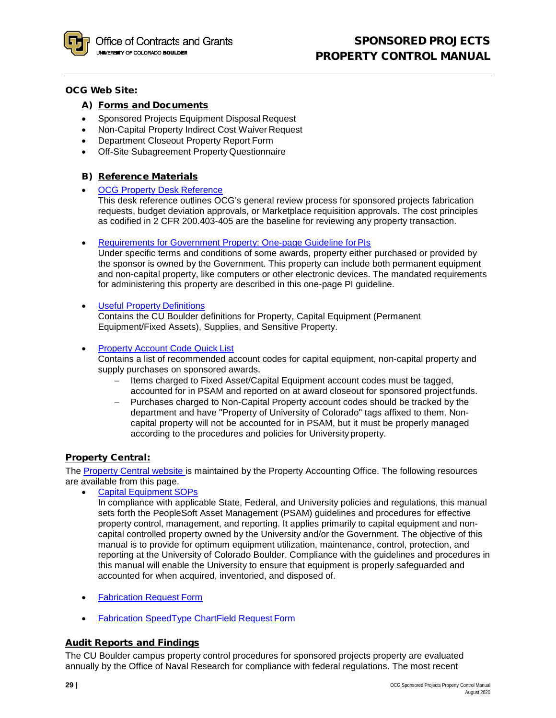

#### <span id="page-28-0"></span>OCG Web Site:

# A) Forms and Documents

- Sponsored Projects Equipment Disposal Request
- Non-Capital Property Indirect Cost Waiver Request
- Department Closeout Property Report Form
- Off-Site Subagreement Property Questionnaire

## <span id="page-28-1"></span>B) Reference Materials

**[OCG Property Desk](http://www.colorado.edu/ocg/node/250/attachment) Reference** 

This desk reference outlines OCG's general review process for sponsored projects fabrication requests, budget deviation approvals, or Marketplace requisition approvals. The cost principles as codified in 2 CFR 200.403-405 are the baseline for reviewing any property transaction.

• [Requirements for Government Property: One-page Guideline forPIs](http://www.colorado.edu/ocg/node/578/attachment)

Under specific terms and conditions of some awards, property either purchased or provided by the sponsor is owned by the Government. This property can include both permanent equipment and non-capital property, like computers or other electronic devices. The mandated requirements for administering this property are described in this one-page PI guideline.

- [Useful Property](http://www.colorado.edu/ocg/node/576/attachment) Definitions Contains the CU Boulder definitions for Property, Capital Equipment (Permanent Equipment/Fixed Assets), Supplies, and Sensitive Property.
- [Property Account Code Quick](http://www.colorado.edu/ocg/node/574/attachment) List

Contains a list of recommended account codes for capital equipment, non-capital property and supply purchases on sponsored awards.

- − Items charged to Fixed Asset/Capital Equipment account codes must be tagged, accounted for in PSAM and reported on at award closeout for sponsored projectfunds.
- − Purchases charged to Non-Capital Property account codes should be tracked by the department and have "Property of University of Colorado" tags affixed to them. Noncapital property will not be accounted for in PSAM, but it must be properly managed according to the procedures and policies for University property.

## <span id="page-28-2"></span>**Property Central:**

The [Property Central website is](http://www.colorado.edu/property/) maintained by the Property Accounting Office. The following resources are available from this page.

• [Capital Equipment](https://www.colorado.edu/property/node/32/attachment) SOPs

In compliance with applicable State, Federal, and University policies and regulations, this manual sets forth the PeopleSoft Asset Management (PSAM) guidelines and procedures for effective property control, management, and reporting. It applies primarily to capital equipment and noncapital controlled property owned by the University and/or the Government. The objective of this manual is to provide for optimum equipment utilization, maintenance, control, protection, and reporting at the University of Colorado Boulder. Compliance with the guidelines and procedures in this manual will enable the University to ensure that equipment is properly safeguarded and accounted for when acquired, inventoried, and disposed of.

- [Fabrication Request](https://www.colorado.edu/ocg/fabrication-tag-request) Form
- [Fabrication SpeedType ChartField Request](https://www.cu.edu/doc/form-cfrstprogsubclass040714updatedsyscontactrev022316.xlsx?download=true) Form

## <span id="page-28-3"></span>Audit Reports and Findings

The CU Boulder campus property control procedures for sponsored projects property are evaluated annually by the Office of Naval Research for compliance with federal regulations. The most recent